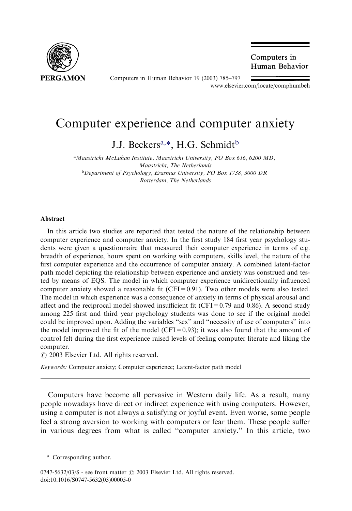

Computers in Human Behavior 19 (2003) 785–797

Computers in Human Behavior

[www.elsevier.com/locate/comphumbeh](http://www.elsevier.com/locate/comphumbeh/a4.3d)

## Computer experience and computer anxiety

J.J. Beckers<sup>a,\*</sup>, H.G. Schmidt<sup>b</sup>

<sup>a</sup> Maastricht McLuhan Institute, Maastricht University, PO Box 616, 6200 MD, Maastricht, The Netherlands <sup>b</sup>Department of Psychology, Erasmus University, PO Box 1738, 3000 DR Rotterdam, The Netherlands

## Abstract

In this article two studies are reported that tested the nature of the relationship between computer experience and computer anxiety. In the first study 184 first year psychology students were given a questionnaire that measured their computer experience in terms of e.g. breadth of experience, hours spent on working with computers, skills level, the nature of the first computer experience and the occurrence of computer anxiety. A combined latent-factor path model depicting the relationship between experience and anxiety was construed and tested by means of EQS. The model in which computer experience unidirectionally influenced computer anxiety showed a reasonable fit  $(CFI=0.91)$ . Two other models were also tested. The model in which experience was a consequence of anxiety in terms of physical arousal and affect and the reciprocal model showed insufficient fit (CFI=0.79 and 0.86). A second study among 225 first and third year psychology students was done to see if the original model could be improved upon. Adding the variables ''sex'' and ''necessity of use of computers'' into the model improved the fit of the model (CFI=0.93); it was also found that the amount of control felt during the first experience raised levels of feeling computer literate and liking the computer.

 $\odot$  2003 Elsevier Ltd. All rights reserved.

Keywords: Computer anxiety; Computer experience; Latent-factor path model

Computers have become all pervasive in Western daily life. As a result, many people nowadays have direct or indirect experience with using computers. However, using a computer is not always a satisfying or joyful event. Even worse, some people feel a strong aversion to working with computers or fear them. These people suffer in various degrees from what is called ''computer anxiety.'' In this article, two

<sup>\*</sup> Corresponding author.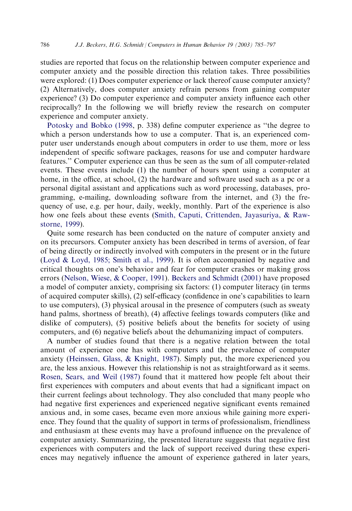studies are reported that focus on the relationship between computer experience and computer anxiety and the possible direction this relation takes. Three possibilities were explored: (1) Does computer experience or lack thereof cause computer anxiety? (2) Alternatively, does computer anxiety refrain persons from gaining computer experience? (3) Do computer experience and computer anxiety influence each other reciprocally? In the following we will briefly review the research on computer experience and computer anxiety.

[Potosky and Bobko \(1998](#page--1-0), p. 338) define computer experience as ''the degree to which a person understands how to use a computer. That is, an experienced computer user understands enough about computers in order to use them, more or less independent of specific software packages, reasons for use and computer hardware features.'' Computer experience can thus be seen as the sum of all computer-related events. These events include (1) the number of hours spent using a computer at home, in the office, at school, (2) the hardware and software used such as a pc or a personal digital assistant and applications such as word processing, databases, programming, e-mailing, downloading software from the internet, and (3) the frequency of use, e.g. per hour, daily, weekly, monthly. Part of the experience is also how one feels about these events ([Smith, Caputi, Crittenden, Jayasuriya, & Raw](#page--1-0)[storne, 1999](#page--1-0)).

Quite some research has been conducted on the nature of computer anxiety and on its precursors. Computer anxiety has been described in terms of aversion, of fear of being directly or indirectly involved with computers in the present or in the future [\(Loyd & Loyd, 1985; Smith et al., 1999](#page--1-0)). It is often accompanied by negative and critical thoughts on one's behavior and fear for computer crashes or making gross errors [\(Nelson, Wiese, & Cooper, 1991](#page--1-0)). [Beckers and Schmidt \(2001\)](#page--1-0) have proposed a model of computer anxiety, comprising six factors: (1) computer literacy (in terms of acquired computer skills), (2) self-efficacy (confidence in one's capabilities to learn to use computers), (3) physical arousal in the presence of computers (such as sweaty hand palms, shortness of breath), (4) affective feelings towards computers (like and dislike of computers), (5) positive beliefs about the benefits for society of using computers, and (6) negative beliefs about the dehumanizing impact of computers.

A number of studies found that there is a negative relation between the total amount of experience one has with computers and the prevalence of computer anxiety ([Heinssen, Glass, & Knight, 1987](#page--1-0)). Simply put, the more experienced you are, the less anxious. However this relationship is not as straightforward as it seems. [Rosen, Sears, and Weil \(1987\)](#page--1-0) found that it mattered how people felt about their first experiences with computers and about events that had a significant impact on their current feelings about technology. They also concluded that many people who had negative first experiences and experienced negative significant events remained anxious and, in some cases, became even more anxious while gaining more experience. They found that the quality of support in terms of professionalism, friendliness and enthusiasm at these events may have a profound influence on the prevalence of computer anxiety. Summarizing, the presented literature suggests that negative first experiences with computers and the lack of support received during these experiences may negatively influence the amount of experience gathered in later years,